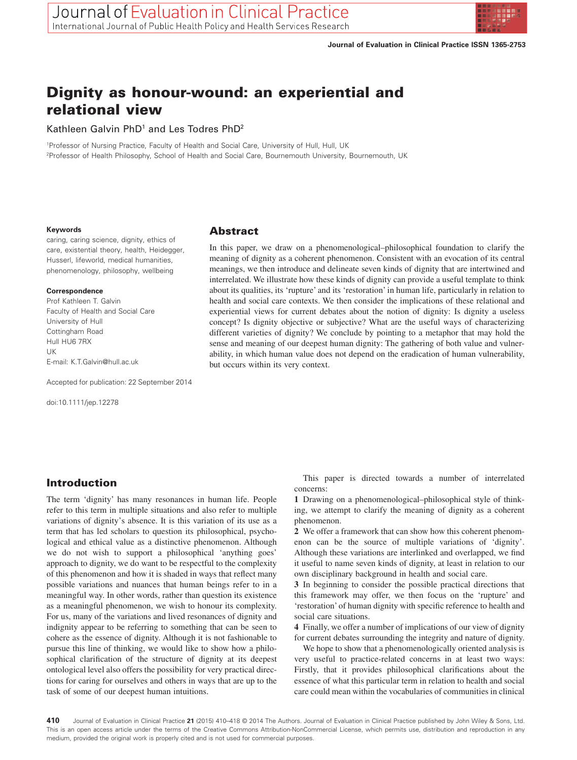

# **Dignity as honour-wound: an experiential and relational view**

Kathleen Galvin PhD<sup>1</sup> and Les Todres PhD<sup>2</sup>

1 Professor of Nursing Practice, Faculty of Health and Social Care, University of Hull, Hull, UK 2 Professor of Health Philosophy, School of Health and Social Care, Bournemouth University, Bournemouth, UK

#### **Keywords**

caring, caring science, dignity, ethics of care, existential theory, health, Heidegger, Husserl, lifeworld, medical humanities, phenomenology, philosophy, wellbeing

#### **Correspondence**

Prof Kathleen T. Galvin Faculty of Health and Social Care University of Hull Cottingham Road Hull HU6 7RX UK E-mail: [K.T.Galvin@hull.ac.uk](mailto:K.T.Galvin@hull.ac.uk)

Accepted for publication: 22 September 2014

doi:10.1111/jep.12278

#### **Abstract**

In this paper, we draw on a phenomenological–philosophical foundation to clarify the meaning of dignity as a coherent phenomenon. Consistent with an evocation of its central meanings, we then introduce and delineate seven kinds of dignity that are intertwined and interrelated. We illustrate how these kinds of dignity can provide a useful template to think about its qualities, its 'rupture' and its 'restoration' in human life, particularly in relation to health and social care contexts. We then consider the implications of these relational and experiential views for current debates about the notion of dignity: Is dignity a useless concept? Is dignity objective or subjective? What are the useful ways of characterizing different varieties of dignity? We conclude by pointing to a metaphor that may hold the sense and meaning of our deepest human dignity: The gathering of both value and vulnerability, in which human value does not depend on the eradication of human vulnerability, but occurs within its very context.

## **Introduction**

The term 'dignity' has many resonances in human life. People refer to this term in multiple situations and also refer to multiple variations of dignity's absence. It is this variation of its use as a term that has led scholars to question its philosophical, psychological and ethical value as a distinctive phenomenon. Although we do not wish to support a philosophical 'anything goes' approach to dignity, we do want to be respectful to the complexity of this phenomenon and how it is shaded in ways that reflect many possible variations and nuances that human beings refer to in a meaningful way. In other words, rather than question its existence as a meaningful phenomenon, we wish to honour its complexity. For us, many of the variations and lived resonances of dignity and indignity appear to be referring to something that can be seen to cohere as the essence of dignity. Although it is not fashionable to pursue this line of thinking, we would like to show how a philosophical clarification of the structure of dignity at its deepest ontological level also offers the possibility for very practical directions for caring for ourselves and others in ways that are up to the task of some of our deepest human intuitions.

This paper is directed towards a number of interrelated concerns:

**1** Drawing on a phenomenological–philosophical style of thinking, we attempt to clarify the meaning of dignity as a coherent phenomenon.

**2** We offer a framework that can show how this coherent phenomenon can be the source of multiple variations of 'dignity'. Although these variations are interlinked and overlapped, we find it useful to name seven kinds of dignity, at least in relation to our own disciplinary background in health and social care.

**3** In beginning to consider the possible practical directions that this framework may offer, we then focus on the 'rupture' and 'restoration' of human dignity with specific reference to health and social care situations.

**4** Finally, we offer a number of implications of our view of dignity for current debates surrounding the integrity and nature of dignity.

We hope to show that a phenomenologically oriented analysis is very useful to practice-related concerns in at least two ways: Firstly, that it provides philosophical clarifications about the essence of what this particular term in relation to health and social care could mean within the vocabularies of communities in clinical

**410** Journal of Evaluation in Clinical Practice **21** (2015) 410–418 © 2014 The Authors. Journal of Evaluation in Clinical Practice published by John Wiley & Sons, Ltd. This is an open access article under the terms of the [Creative Commons Attribution-NonCommercial](http://creativecommons.org/licenses/by-nc/4.0) License, which permits use, distribution and reproduction in any medium, provided the original work is properly cited and is not used for commercial purposes.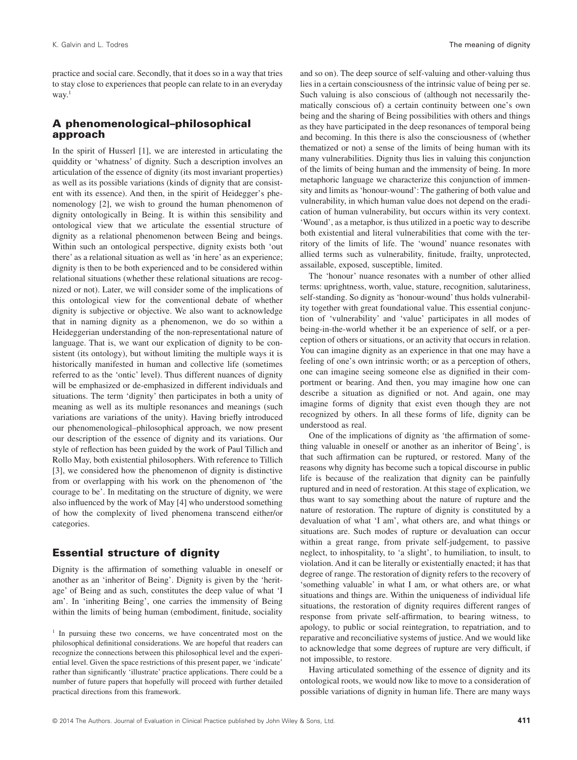practice and social care. Secondly, that it does so in a way that tries to stay close to experiences that people can relate to in an everyday  $way.<sup>1</sup>$ 

### **A phenomenological–philosophical approach**

In the spirit of Husserl [1], we are interested in articulating the quiddity or 'whatness' of dignity. Such a description involves an articulation of the essence of dignity (its most invariant properties) as well as its possible variations (kinds of dignity that are consistent with its essence). And then, in the spirit of Heidegger's phenomenology [2], we wish to ground the human phenomenon of dignity ontologically in Being. It is within this sensibility and ontological view that we articulate the essential structure of dignity as a relational phenomenon between Being and beings. Within such an ontological perspective, dignity exists both 'out there' as a relational situation as well as 'in here' as an experience; dignity is then to be both experienced and to be considered within relational situations (whether these relational situations are recognized or not). Later, we will consider some of the implications of this ontological view for the conventional debate of whether dignity is subjective or objective. We also want to acknowledge that in naming dignity as a phenomenon, we do so within a Heideggerian understanding of the non-representational nature of language. That is, we want our explication of dignity to be consistent (its ontology), but without limiting the multiple ways it is historically manifested in human and collective life (sometimes referred to as the 'ontic' level). Thus different nuances of dignity will be emphasized or de-emphasized in different individuals and situations. The term 'dignity' then participates in both a unity of meaning as well as its multiple resonances and meanings (such variations are variations of the unity). Having briefly introduced our phenomenological–philosophical approach, we now present our description of the essence of dignity and its variations. Our style of reflection has been guided by the work of Paul Tillich and Rollo May, both existential philosophers. With reference to Tillich [3], we considered how the phenomenon of dignity is distinctive from or overlapping with his work on the phenomenon of 'the courage to be'. In meditating on the structure of dignity, we were also influenced by the work of May [4] who understood something of how the complexity of lived phenomena transcend either/or categories.

# **Essential structure of dignity**

Dignity is the affirmation of something valuable in oneself or another as an 'inheritor of Being'. Dignity is given by the 'heritage' of Being and as such, constitutes the deep value of what 'I am'. In 'inheriting Being', one carries the immensity of Being within the limits of being human (embodiment, finitude, sociality

<sup>1</sup> In pursuing these two concerns, we have concentrated most on the philosophical definitional considerations. We are hopeful that readers can recognize the connections between this philosophical level and the experiential level. Given the space restrictions of this present paper, we 'indicate' rather than significantly 'illustrate' practice applications. There could be a number of future papers that hopefully will proceed with further detailed practical directions from this framework.

and so on). The deep source of self-valuing and other-valuing thus lies in a certain consciousness of the intrinsic value of being per se. Such valuing is also conscious of (although not necessarily thematically conscious of) a certain continuity between one's own being and the sharing of Being possibilities with others and things as they have participated in the deep resonances of temporal being and becoming. In this there is also the consciousness of (whether thematized or not) a sense of the limits of being human with its many vulnerabilities. Dignity thus lies in valuing this conjunction of the limits of being human and the immensity of being. In more metaphoric language we characterize this conjunction of immensity and limits as 'honour-wound': The gathering of both value and vulnerability, in which human value does not depend on the eradication of human vulnerability, but occurs within its very context. 'Wound', as a metaphor, is thus utilized in a poetic way to describe both existential and literal vulnerabilities that come with the territory of the limits of life. The 'wound' nuance resonates with allied terms such as vulnerability, finitude, frailty, unprotected, assailable, exposed, susceptible, limited.

The 'honour' nuance resonates with a number of other allied terms: uprightness, worth, value, stature, recognition, salutariness, self-standing. So dignity as 'honour-wound' thus holds vulnerability together with great foundational value. This essential conjunction of 'vulnerability' and 'value' participates in all modes of being-in-the-world whether it be an experience of self, or a perception of others or situations, or an activity that occurs in relation. You can imagine dignity as an experience in that one may have a feeling of one's own intrinsic worth; or as a perception of others, one can imagine seeing someone else as dignified in their comportment or bearing. And then, you may imagine how one can describe a situation as dignified or not. And again, one may imagine forms of dignity that exist even though they are not recognized by others. In all these forms of life, dignity can be understood as real.

One of the implications of dignity as 'the affirmation of something valuable in oneself or another as an inheritor of Being', is that such affirmation can be ruptured, or restored. Many of the reasons why dignity has become such a topical discourse in public life is because of the realization that dignity can be painfully ruptured and in need of restoration. At this stage of explication, we thus want to say something about the nature of rupture and the nature of restoration. The rupture of dignity is constituted by a devaluation of what 'I am', what others are, and what things or situations are. Such modes of rupture or devaluation can occur within a great range, from private self-judgement, to passive neglect, to inhospitality, to 'a slight', to humiliation, to insult, to violation. And it can be literally or existentially enacted; it has that degree of range. The restoration of dignity refers to the recovery of 'something valuable' in what I am, or what others are, or what situations and things are. Within the uniqueness of individual life situations, the restoration of dignity requires different ranges of response from private self-affirmation, to bearing witness, to apology, to public or social reintegration, to repatriation, and to reparative and reconciliative systems of justice. And we would like to acknowledge that some degrees of rupture are very difficult, if not impossible, to restore.

Having articulated something of the essence of dignity and its ontological roots, we would now like to move to a consideration of possible variations of dignity in human life. There are many ways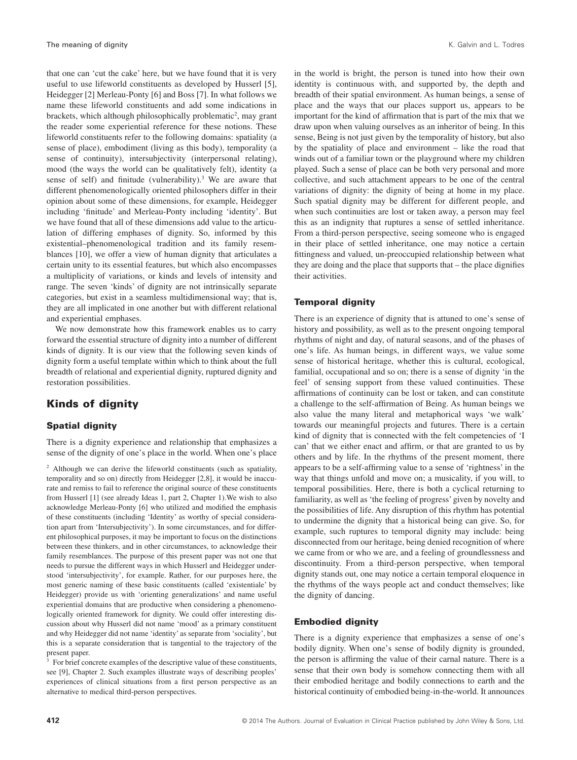that one can 'cut the cake' here, but we have found that it is very useful to use lifeworld constituents as developed by Husserl [5], Heidegger [2] Merleau-Ponty [6] and Boss [7]. In what follows we name these lifeworld constituents and add some indications in brackets, which although philosophically problematic<sup>2</sup>, may grant the reader some experiential reference for these notions. These lifeworld constituents refer to the following domains: spatiality (a sense of place), embodiment (living as this body), temporality (a sense of continuity), intersubjectivity (interpersonal relating), mood (the ways the world can be qualitatively felt), identity (a sense of self) and finitude (vulnerability). $3$  We are aware that different phenomenologically oriented philosophers differ in their opinion about some of these dimensions, for example, Heidegger including 'finitude' and Merleau-Ponty including 'identity'. But we have found that all of these dimensions add value to the articulation of differing emphases of dignity. So, informed by this existential–phenomenological tradition and its family resemblances [10], we offer a view of human dignity that articulates a certain unity to its essential features, but which also encompasses a multiplicity of variations, or kinds and levels of intensity and range. The seven 'kinds' of dignity are not intrinsically separate categories, but exist in a seamless multidimensional way; that is, they are all implicated in one another but with different relational and experiential emphases.

We now demonstrate how this framework enables us to carry forward the essential structure of dignity into a number of different kinds of dignity. It is our view that the following seven kinds of dignity form a useful template within which to think about the full breadth of relational and experiential dignity, ruptured dignity and restoration possibilities.

# **Kinds of dignity**

#### **Spatial dignity**

There is a dignity experience and relationship that emphasizes a sense of the dignity of one's place in the world. When one's place

<sup>2</sup> Although we can derive the lifeworld constituents (such as spatiality, temporality and so on) directly from Heidegger [2,8], it would be inaccurate and remiss to fail to reference the original source of these constituents from Husserl [1] (see already Ideas 1, part 2, Chapter 1).We wish to also acknowledge Merleau-Ponty [6] who utilized and modified the emphasis of these constituents (including 'Identity' as worthy of special consideration apart from 'Intersubjectivity'). In some circumstances, and for different philosophical purposes, it may be important to focus on the distinctions between these thinkers, and in other circumstances, to acknowledge their family resemblances. The purpose of this present paper was not one that needs to pursue the different ways in which Husserl and Heidegger understood 'intersubjectivity', for example. Rather, for our purposes here, the most generic naming of these basic constituents (called 'existentiale' by Heidegger) provide us with 'orienting generalizations' and name useful experiential domains that are productive when considering a phenomenologically oriented framework for dignity. We could offer interesting discussion about why Husserl did not name 'mood' as a primary constituent and why Heidegger did not name 'identity' as separate from 'sociality', but this is a separate consideration that is tangential to the trajectory of the present paper.

<sup>3</sup> For brief concrete examples of the descriptive value of these constituents, see [9], Chapter 2. Such examples illustrate ways of describing peoples' experiences of clinical situations from a first person perspective as an alternative to medical third-person perspectives.

in the world is bright, the person is tuned into how their own identity is continuous with, and supported by, the depth and breadth of their spatial environment. As human beings, a sense of place and the ways that our places support us, appears to be important for the kind of affirmation that is part of the mix that we draw upon when valuing ourselves as an inheritor of being. In this sense, Being is not just given by the temporality of history, but also by the spatiality of place and environment – like the road that winds out of a familiar town or the playground where my children played. Such a sense of place can be both very personal and more collective, and such attachment appears to be one of the central variations of dignity: the dignity of being at home in my place. Such spatial dignity may be different for different people, and when such continuities are lost or taken away, a person may feel this as an indignity that ruptures a sense of settled inheritance. From a third-person perspective, seeing someone who is engaged in their place of settled inheritance, one may notice a certain fittingness and valued, un-preoccupied relationship between what they are doing and the place that supports that – the place dignifies their activities.

#### **Temporal dignity**

There is an experience of dignity that is attuned to one's sense of history and possibility, as well as to the present ongoing temporal rhythms of night and day, of natural seasons, and of the phases of one's life. As human beings, in different ways, we value some sense of historical heritage, whether this is cultural, ecological, familial, occupational and so on; there is a sense of dignity 'in the feel' of sensing support from these valued continuities. These affirmations of continuity can be lost or taken, and can constitute a challenge to the self-affirmation of Being. As human beings we also value the many literal and metaphorical ways 'we walk' towards our meaningful projects and futures. There is a certain kind of dignity that is connected with the felt competencies of 'I can' that we either enact and affirm, or that are granted to us by others and by life. In the rhythms of the present moment, there appears to be a self-affirming value to a sense of 'rightness' in the way that things unfold and move on; a musicality, if you will, to temporal possibilities. Here, there is both a cyclical returning to familiarity, as well as 'the feeling of progress' given by novelty and the possibilities of life. Any disruption of this rhythm has potential to undermine the dignity that a historical being can give. So, for example, such ruptures to temporal dignity may include: being disconnected from our heritage, being denied recognition of where we came from or who we are, and a feeling of groundlessness and discontinuity. From a third-person perspective, when temporal dignity stands out, one may notice a certain temporal eloquence in the rhythms of the ways people act and conduct themselves; like the dignity of dancing.

#### **Embodied dignity**

There is a dignity experience that emphasizes a sense of one's bodily dignity. When one's sense of bodily dignity is grounded, the person is affirming the value of their carnal nature. There is a sense that their own body is somehow connecting them with all their embodied heritage and bodily connections to earth and the historical continuity of embodied being-in-the-world. It announces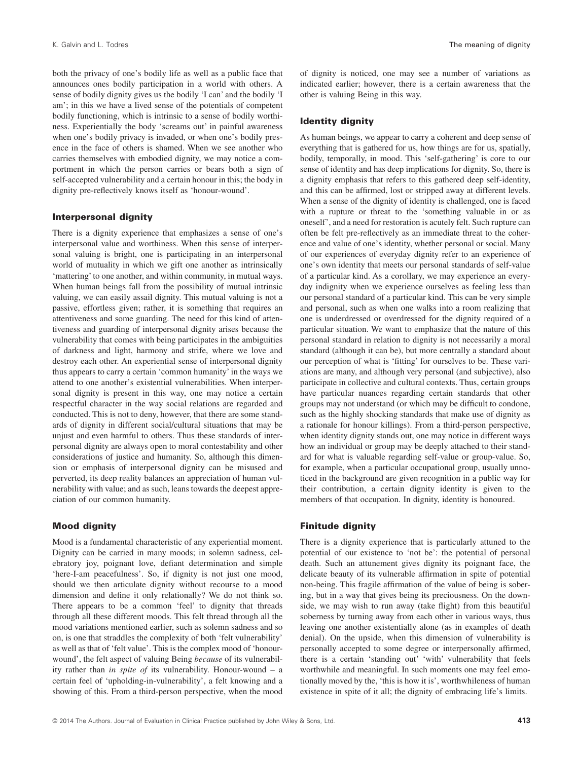both the privacy of one's bodily life as well as a public face that announces ones bodily participation in a world with others. A sense of bodily dignity gives us the bodily 'I can' and the bodily 'I am'; in this we have a lived sense of the potentials of competent bodily functioning, which is intrinsic to a sense of bodily worthiness. Experientially the body 'screams out' in painful awareness when one's bodily privacy is invaded, or when one's bodily presence in the face of others is shamed. When we see another who carries themselves with embodied dignity, we may notice a comportment in which the person carries or bears both a sign of self-accepted vulnerability and a certain honour in this; the body in dignity pre-reflectively knows itself as 'honour-wound'.

#### **Interpersonal dignity**

There is a dignity experience that emphasizes a sense of one's interpersonal value and worthiness. When this sense of interpersonal valuing is bright, one is participating in an interpersonal world of mutuality in which we gift one another as intrinsically 'mattering' to one another, and within community, in mutual ways. When human beings fall from the possibility of mutual intrinsic valuing, we can easily assail dignity. This mutual valuing is not a passive, effortless given; rather, it is something that requires an attentiveness and some guarding. The need for this kind of attentiveness and guarding of interpersonal dignity arises because the vulnerability that comes with being participates in the ambiguities of darkness and light, harmony and strife, where we love and destroy each other. An experiential sense of interpersonal dignity thus appears to carry a certain 'common humanity' in the ways we attend to one another's existential vulnerabilities. When interpersonal dignity is present in this way, one may notice a certain respectful character in the way social relations are regarded and conducted. This is not to deny, however, that there are some standards of dignity in different social/cultural situations that may be unjust and even harmful to others. Thus these standards of interpersonal dignity are always open to moral contestability and other considerations of justice and humanity. So, although this dimension or emphasis of interpersonal dignity can be misused and perverted, its deep reality balances an appreciation of human vulnerability with value; and as such, leans towards the deepest appreciation of our common humanity.

#### **Mood dignity**

Mood is a fundamental characteristic of any experiential moment. Dignity can be carried in many moods; in solemn sadness, celebratory joy, poignant love, defiant determination and simple 'here-I-am peacefulness'. So, if dignity is not just one mood, should we then articulate dignity without recourse to a mood dimension and define it only relationally? We do not think so. There appears to be a common 'feel' to dignity that threads through all these different moods. This felt thread through all the mood variations mentioned earlier, such as solemn sadness and so on, is one that straddles the complexity of both 'felt vulnerability' as well as that of 'felt value'. This is the complex mood of 'honourwound', the felt aspect of valuing Being *because* of its vulnerability rather than *in spite of* its vulnerability. Honour-wound – a certain feel of 'upholding-in-vulnerability', a felt knowing and a showing of this. From a third-person perspective, when the mood of dignity is noticed, one may see a number of variations as indicated earlier; however, there is a certain awareness that the other is valuing Being in this way.

#### **Identity dignity**

As human beings, we appear to carry a coherent and deep sense of everything that is gathered for us, how things are for us, spatially, bodily, temporally, in mood. This 'self-gathering' is core to our sense of identity and has deep implications for dignity. So, there is a dignity emphasis that refers to this gathered deep self-identity, and this can be affirmed, lost or stripped away at different levels. When a sense of the dignity of identity is challenged, one is faced with a rupture or threat to the 'something valuable in or as oneself', and a need for restoration is acutely felt. Such rupture can often be felt pre-reflectively as an immediate threat to the coherence and value of one's identity, whether personal or social. Many of our experiences of everyday dignity refer to an experience of one's own identity that meets our personal standards of self-value of a particular kind. As a corollary, we may experience an everyday indignity when we experience ourselves as feeling less than our personal standard of a particular kind. This can be very simple and personal, such as when one walks into a room realizing that one is underdressed or overdressed for the dignity required of a particular situation. We want to emphasize that the nature of this personal standard in relation to dignity is not necessarily a moral standard (although it can be), but more centrally a standard about our perception of what is 'fitting' for ourselves to be. These variations are many, and although very personal (and subjective), also participate in collective and cultural contexts. Thus, certain groups have particular nuances regarding certain standards that other groups may not understand (or which may be difficult to condone, such as the highly shocking standards that make use of dignity as a rationale for honour killings). From a third-person perspective, when identity dignity stands out, one may notice in different ways how an individual or group may be deeply attached to their standard for what is valuable regarding self-value or group-value. So, for example, when a particular occupational group, usually unnoticed in the background are given recognition in a public way for their contribution, a certain dignity identity is given to the members of that occupation. In dignity, identity is honoured.

#### **Finitude dignity**

There is a dignity experience that is particularly attuned to the potential of our existence to 'not be': the potential of personal death. Such an attunement gives dignity its poignant face, the delicate beauty of its vulnerable affirmation in spite of potential non-being. This fragile affirmation of the value of being is sobering, but in a way that gives being its preciousness. On the downside, we may wish to run away (take flight) from this beautiful soberness by turning away from each other in various ways, thus leaving one another existentially alone (as in examples of death denial). On the upside, when this dimension of vulnerability is personally accepted to some degree or interpersonally affirmed, there is a certain 'standing out' 'with' vulnerability that feels worthwhile and meaningful. In such moments one may feel emotionally moved by the, 'this is how it is', worthwhileness of human existence in spite of it all; the dignity of embracing life's limits.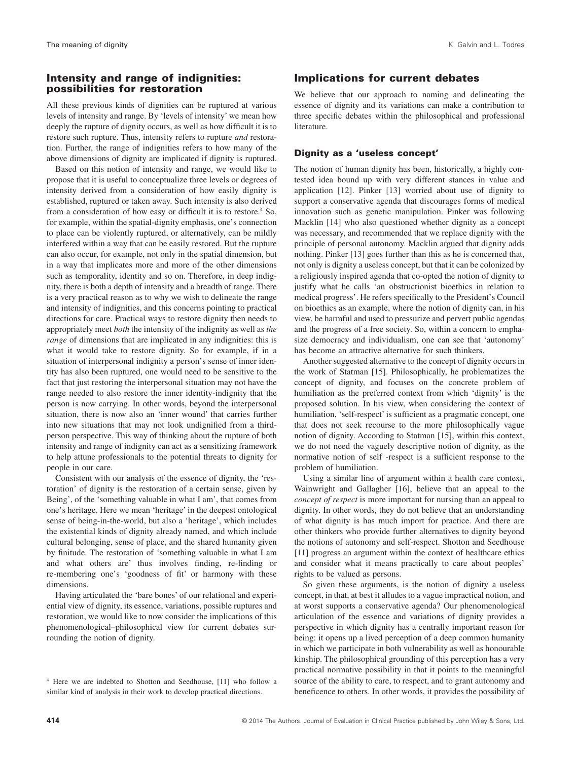# **Intensity and range of indignities: possibilities for restoration**

All these previous kinds of dignities can be ruptured at various levels of intensity and range. By 'levels of intensity' we mean how deeply the rupture of dignity occurs, as well as how difficult it is to restore such rupture. Thus, intensity refers to rupture *and* restoration. Further, the range of indignities refers to how many of the above dimensions of dignity are implicated if dignity is ruptured.

Based on this notion of intensity and range, we would like to propose that it is useful to conceptualize three levels or degrees of intensity derived from a consideration of how easily dignity is established, ruptured or taken away. Such intensity is also derived from a consideration of how easy or difficult it is to restore.<sup>4</sup> So, for example, within the spatial-dignity emphasis, one's connection to place can be violently ruptured, or alternatively, can be mildly interfered within a way that can be easily restored. But the rupture can also occur, for example, not only in the spatial dimension, but in a way that implicates more and more of the other dimensions such as temporality, identity and so on. Therefore, in deep indignity, there is both a depth of intensity and a breadth of range. There is a very practical reason as to why we wish to delineate the range and intensity of indignities, and this concerns pointing to practical directions for care. Practical ways to restore dignity then needs to appropriately meet *both* the intensity of the indignity as well as *the range* of dimensions that are implicated in any indignities: this is what it would take to restore dignity. So for example, if in a situation of interpersonal indignity a person's sense of inner identity has also been ruptured, one would need to be sensitive to the fact that just restoring the interpersonal situation may not have the range needed to also restore the inner identity-indignity that the person is now carrying. In other words, beyond the interpersonal situation, there is now also an 'inner wound' that carries further into new situations that may not look undignified from a thirdperson perspective. This way of thinking about the rupture of both intensity and range of indignity can act as a sensitizing framework to help attune professionals to the potential threats to dignity for people in our care.

Consistent with our analysis of the essence of dignity, the 'restoration' of dignity is the restoration of a certain sense, given by Being', of the 'something valuable in what I am', that comes from one's heritage. Here we mean 'heritage' in the deepest ontological sense of being-in-the-world, but also a 'heritage', which includes the existential kinds of dignity already named, and which include cultural belonging, sense of place, and the shared humanity given by finitude. The restoration of 'something valuable in what I am and what others are' thus involves finding, re-finding or re-membering one's 'goodness of fit' or harmony with these dimensions.

Having articulated the 'bare bones' of our relational and experiential view of dignity, its essence, variations, possible ruptures and restoration, we would like to now consider the implications of this phenomenological–philosophical view for current debates surrounding the notion of dignity.

# **Implications for current debates**

We believe that our approach to naming and delineating the essence of dignity and its variations can make a contribution to three specific debates within the philosophical and professional literature.

#### **Dignity as a 'useless concept'**

The notion of human dignity has been, historically, a highly contested idea bound up with very different stances in value and application [12]. Pinker [13] worried about use of dignity to support a conservative agenda that discourages forms of medical innovation such as genetic manipulation. Pinker was following Macklin [14] who also questioned whether dignity as a concept was necessary, and recommended that we replace dignity with the principle of personal autonomy. Macklin argued that dignity adds nothing. Pinker [13] goes further than this as he is concerned that, not only is dignity a useless concept, but that it can be colonized by a religiously inspired agenda that co-opted the notion of dignity to justify what he calls 'an obstructionist bioethics in relation to medical progress'. He refers specifically to the President's Council on bioethics as an example, where the notion of dignity can, in his view, be harmful and used to pressurize and pervert public agendas and the progress of a free society. So, within a concern to emphasize democracy and individualism, one can see that 'autonomy' has become an attractive alternative for such thinkers.

Another suggested alternative to the concept of dignity occurs in the work of Statman [15]. Philosophically, he problematizes the concept of dignity, and focuses on the concrete problem of humiliation as the preferred context from which 'dignity' is the proposed solution. In his view, when considering the context of humiliation, 'self-respect' is sufficient as a pragmatic concept, one that does not seek recourse to the more philosophically vague notion of dignity. According to Statman [15], within this context, we do not need the vaguely descriptive notion of dignity, as the normative notion of self -respect is a sufficient response to the problem of humiliation.

Using a similar line of argument within a health care context, Wainwright and Gallagher [16], believe that an appeal to the *concept of respect* is more important for nursing than an appeal to dignity. In other words, they do not believe that an understanding of what dignity is has much import for practice. And there are other thinkers who provide further alternatives to dignity beyond the notions of autonomy and self-respect. Shotton and Seedhouse [11] progress an argument within the context of healthcare ethics and consider what it means practically to care about peoples' rights to be valued as persons.

So given these arguments, is the notion of dignity a useless concept, in that, at best it alludes to a vague impractical notion, and at worst supports a conservative agenda? Our phenomenological articulation of the essence and variations of dignity provides a perspective in which dignity has a centrally important reason for being: it opens up a lived perception of a deep common humanity in which we participate in both vulnerability as well as honourable kinship. The philosophical grounding of this perception has a very practical normative possibility in that it points to the meaningful source of the ability to care, to respect, and to grant autonomy and beneficence to others. In other words, it provides the possibility of

<sup>4</sup> Here we are indebted to Shotton and Seedhouse, [11] who follow a similar kind of analysis in their work to develop practical directions.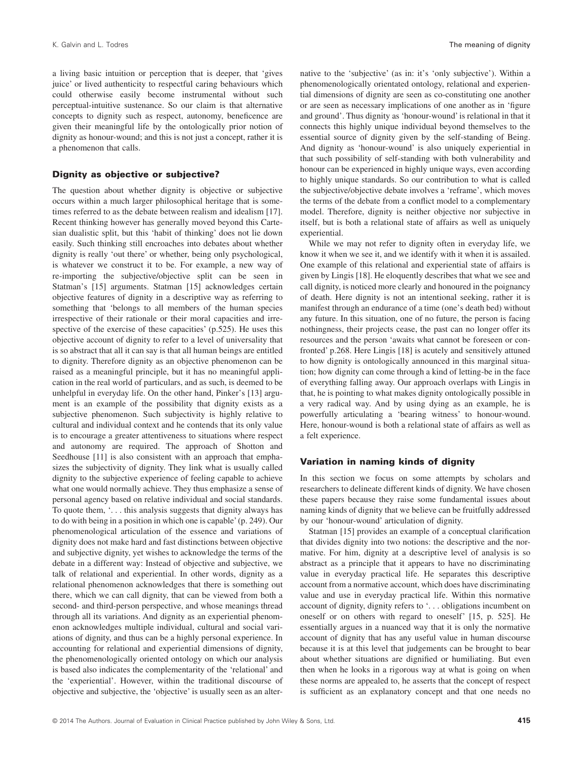a living basic intuition or perception that is deeper, that 'gives juice' or lived authenticity to respectful caring behaviours which could otherwise easily become instrumental without such perceptual-intuitive sustenance. So our claim is that alternative concepts to dignity such as respect, autonomy, beneficence are given their meaningful life by the ontologically prior notion of dignity as honour-wound; and this is not just a concept, rather it is a phenomenon that calls.

#### **Dignity as objective or subjective?**

The question about whether dignity is objective or subjective occurs within a much larger philosophical heritage that is sometimes referred to as the debate between realism and idealism [17]. Recent thinking however has generally moved beyond this Cartesian dualistic split, but this 'habit of thinking' does not lie down easily. Such thinking still encroaches into debates about whether dignity is really 'out there' or whether, being only psychological, is whatever we construct it to be. For example, a new way of re-importing the subjective/objective split can be seen in Statman's [15] arguments. Statman [15] acknowledges certain objective features of dignity in a descriptive way as referring to something that 'belongs to all members of the human species irrespective of their rationale or their moral capacities and irrespective of the exercise of these capacities' (p.525). He uses this objective account of dignity to refer to a level of universality that is so abstract that all it can say is that all human beings are entitled to dignity. Therefore dignity as an objective phenomenon can be raised as a meaningful principle, but it has no meaningful application in the real world of particulars, and as such, is deemed to be unhelpful in everyday life. On the other hand, Pinker's [13] argument is an example of the possibility that dignity exists as a subjective phenomenon. Such subjectivity is highly relative to cultural and individual context and he contends that its only value is to encourage a greater attentiveness to situations where respect and autonomy are required. The approach of Shotton and Seedhouse [11] is also consistent with an approach that emphasizes the subjectivity of dignity. They link what is usually called dignity to the subjective experience of feeling capable to achieve what one would normally achieve. They thus emphasize a sense of personal agency based on relative individual and social standards. To quote them, '. . . this analysis suggests that dignity always has to do with being in a position in which one is capable' (p. 249). Our phenomenological articulation of the essence and variations of dignity does not make hard and fast distinctions between objective and subjective dignity, yet wishes to acknowledge the terms of the debate in a different way: Instead of objective and subjective, we talk of relational and experiential. In other words, dignity as a relational phenomenon acknowledges that there is something out there, which we can call dignity, that can be viewed from both a second- and third-person perspective, and whose meanings thread through all its variations. And dignity as an experiential phenomenon acknowledges multiple individual, cultural and social variations of dignity, and thus can be a highly personal experience. In accounting for relational and experiential dimensions of dignity, the phenomenologically oriented ontology on which our analysis is based also indicates the complementarity of the 'relational' and the 'experiential'. However, within the traditional discourse of objective and subjective, the 'objective' is usually seen as an alternative to the 'subjective' (as in: it's 'only subjective'). Within a phenomenologically orientated ontology, relational and experiential dimensions of dignity are seen as co-constituting one another or are seen as necessary implications of one another as in 'figure and ground'. Thus dignity as 'honour-wound' is relational in that it connects this highly unique individual beyond themselves to the essential source of dignity given by the self-standing of Being. And dignity as 'honour-wound' is also uniquely experiential in that such possibility of self-standing with both vulnerability and honour can be experienced in highly unique ways, even according to highly unique standards. So our contribution to what is called the subjective/objective debate involves a 'reframe', which moves the terms of the debate from a conflict model to a complementary model. Therefore, dignity is neither objective nor subjective in itself, but is both a relational state of affairs as well as uniquely experiential.

While we may not refer to dignity often in everyday life, we know it when we see it, and we identify with it when it is assailed. One example of this relational and experiential state of affairs is given by Lingis [18]. He eloquently describes that what we see and call dignity, is noticed more clearly and honoured in the poignancy of death. Here dignity is not an intentional seeking, rather it is manifest through an endurance of a time (one's death bed) without any future. In this situation, one of no future, the person is facing nothingness, their projects cease, the past can no longer offer its resources and the person 'awaits what cannot be foreseen or confronted' p.268. Here Lingis [18] is acutely and sensitively attuned to how dignity is ontologically announced in this marginal situation; how dignity can come through a kind of letting-be in the face of everything falling away. Our approach overlaps with Lingis in that, he is pointing to what makes dignity ontologically possible in a very radical way. And by using dying as an example, he is powerfully articulating a 'bearing witness' to honour-wound. Here, honour-wound is both a relational state of affairs as well as a felt experience.

#### **Variation in naming kinds of dignity**

In this section we focus on some attempts by scholars and researchers to delineate different kinds of dignity. We have chosen these papers because they raise some fundamental issues about naming kinds of dignity that we believe can be fruitfully addressed by our 'honour-wound' articulation of dignity.

Statman [15] provides an example of a conceptual clarification that divides dignity into two notions: the descriptive and the normative. For him, dignity at a descriptive level of analysis is so abstract as a principle that it appears to have no discriminating value in everyday practical life. He separates this descriptive account from a normative account, which does have discriminating value and use in everyday practical life. Within this normative account of dignity, dignity refers to '. . . obligations incumbent on oneself or on others with regard to oneself' [15, p. 525]. He essentially argues in a nuanced way that it is only the normative account of dignity that has any useful value in human discourse because it is at this level that judgements can be brought to bear about whether situations are dignified or humiliating. But even then when he looks in a rigorous way at what is going on when these norms are appealed to, he asserts that the concept of respect is sufficient as an explanatory concept and that one needs no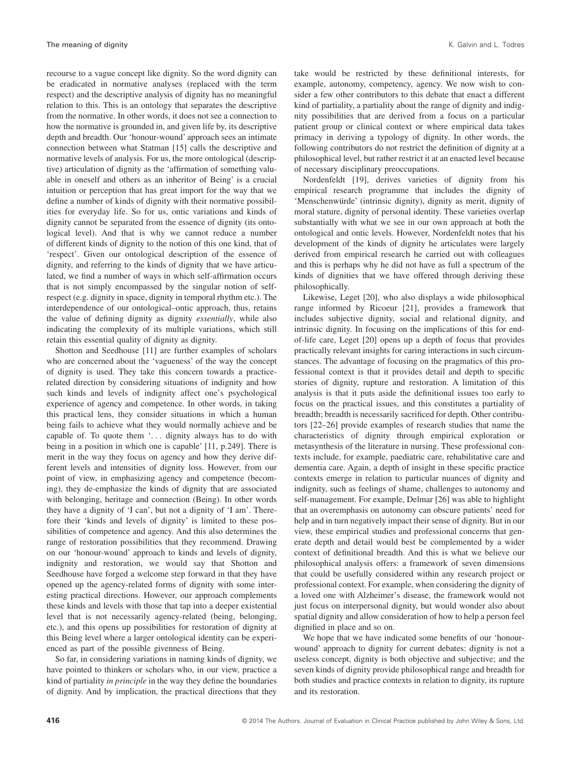recourse to a vague concept like dignity. So the word dignity can be eradicated in normative analyses (replaced with the term respect) and the descriptive analysis of dignity has no meaningful relation to this. This is an ontology that separates the descriptive from the normative. In other words, it does not see a connection to how the normative is grounded in, and given life by, its descriptive depth and breadth. Our 'honour-wound' approach sees an intimate connection between what Statman [15] calls the descriptive and normative levels of analysis. For us, the more ontological (descriptive) articulation of dignity as the 'affirmation of something valuable in oneself and others as an inheritor of Being' is a crucial intuition or perception that has great import for the way that we define a number of kinds of dignity with their normative possibilities for everyday life. So for us, ontic variations and kinds of dignity cannot be separated from the essence of dignity (its ontological level). And that is why we cannot reduce a number of different kinds of dignity to the notion of this one kind, that of 'respect'. Given our ontological description of the essence of dignity, and referring to the kinds of dignity that we have articulated, we find a number of ways in which self-affirmation occurs that is not simply encompassed by the singular notion of selfrespect (e.g. dignity in space, dignity in temporal rhythm etc.). The interdependence of our ontological–ontic approach, thus, retains the value of defining dignity as dignity *essentially*, while also indicating the complexity of its multiple variations, which still retain this essential quality of dignity as dignity.

Shotton and Seedhouse [11] are further examples of scholars who are concerned about the 'vagueness' of the way the concept of dignity is used. They take this concern towards a practicerelated direction by considering situations of indignity and how such kinds and levels of indignity affect one's psychological experience of agency and competence. In other words, in taking this practical lens, they consider situations in which a human being fails to achieve what they would normally achieve and be capable of. To quote them '... dignity always has to do with being in a position in which one is capable' [11, p.249]. There is merit in the way they focus on agency and how they derive different levels and intensities of dignity loss. However, from our point of view, in emphasizing agency and competence (becoming), they de-emphasize the kinds of dignity that are associated with belonging, heritage and connection (Being). In other words they have a dignity of 'I can', but not a dignity of 'I am'. Therefore their 'kinds and levels of dignity' is limited to these possibilities of competence and agency. And this also determines the range of restoration possibilities that they recommend. Drawing on our 'honour-wound' approach to kinds and levels of dignity, indignity and restoration, we would say that Shotton and Seedhouse have forged a welcome step forward in that they have opened up the agency-related forms of dignity with some interesting practical directions. However, our approach complements these kinds and levels with those that tap into a deeper existential level that is not necessarily agency-related (being, belonging, etc.), and this opens up possibilities for restoration of dignity at this Being level where a larger ontological identity can be experienced as part of the possible givenness of Being.

So far, in considering variations in naming kinds of dignity, we have pointed to thinkers or scholars who, in our view, practice a kind of partiality *in principle* in the way they define the boundaries of dignity. And by implication, the practical directions that they take would be restricted by these definitional interests, for example, autonomy, competency, agency. We now wish to consider a few other contributors to this debate that enact a different kind of partiality, a partiality about the range of dignity and indignity possibilities that are derived from a focus on a particular patient group or clinical context or where empirical data takes primacy in deriving a typology of dignity. In other words, the following contributors do not restrict the definition of dignity at a philosophical level, but rather restrict it at an enacted level because of necessary disciplinary preoccupations.

Nordenfeldt [19], derives varieties of dignity from his empirical research programme that includes the dignity of 'Menschenwürde' (intrinsic dignity), dignity as merit, dignity of moral stature, dignity of personal identity. These varieties overlap substantially with what we see in our own approach at both the ontological and ontic levels. However, Nordenfeldt notes that his development of the kinds of dignity he articulates were largely derived from empirical research he carried out with colleagues and this is perhaps why he did not have as full a spectrum of the kinds of dignities that we have offered through deriving these philosophically.

Likewise, Leget [20], who also displays a wide philosophical range informed by Ricoeur [21], provides a framework that includes subjective dignity, social and relational dignity, and intrinsic dignity. In focusing on the implications of this for endof-life care, Leget [20] opens up a depth of focus that provides practically relevant insights for caring interactions in such circumstances. The advantage of focusing on the pragmatics of this professional context is that it provides detail and depth to specific stories of dignity, rupture and restoration. A limitation of this analysis is that it puts aside the definitional issues too early to focus on the practical issues, and this constitutes a partiality of breadth; breadth is necessarily sacrificed for depth. Other contributors [22–26] provide examples of research studies that name the characteristics of dignity through empirical exploration or metasynthesis of the literature in nursing. These professional contexts include, for example, paediatric care, rehabilitative care and dementia care. Again, a depth of insight in these specific practice contexts emerge in relation to particular nuances of dignity and indignity, such as feelings of shame, challenges to autonomy and self-management. For example, Delmar [26] was able to highlight that an overemphasis on autonomy can obscure patients' need for help and in turn negatively impact their sense of dignity. But in our view, these empirical studies and professional concerns that generate depth and detail would best be complemented by a wider context of definitional breadth. And this is what we believe our philosophical analysis offers: a framework of seven dimensions that could be usefully considered within any research project or professional context. For example, when considering the dignity of a loved one with Alzheimer's disease, the framework would not just focus on interpersonal dignity, but would wonder also about spatial dignity and allow consideration of how to help a person feel dignified in place and so on.

We hope that we have indicated some benefits of our 'honourwound' approach to dignity for current debates: dignity is not a useless concept, dignity is both objective and subjective; and the seven kinds of dignity provide philosophical range and breadth for both studies and practice contexts in relation to dignity, its rupture and its restoration.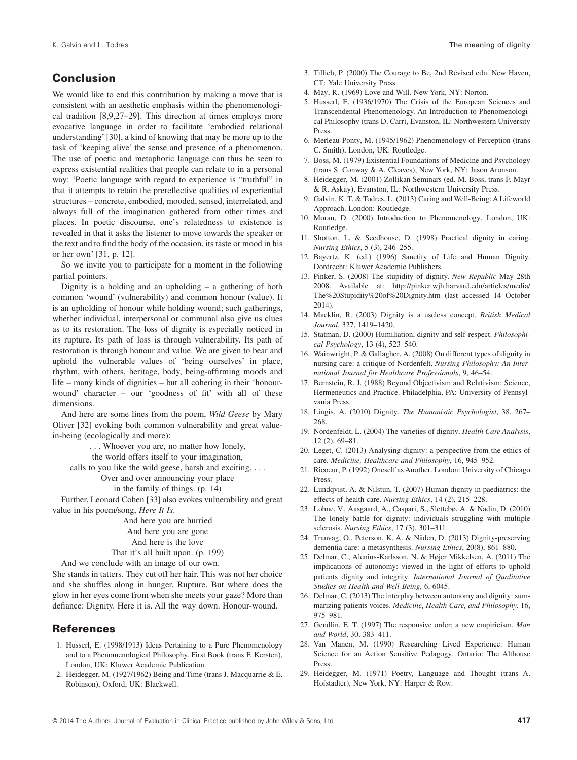# **Conclusion**

We would like to end this contribution by making a move that is consistent with an aesthetic emphasis within the phenomenological tradition [8,9,27–29]. This direction at times employs more evocative language in order to facilitate 'embodied relational understanding' [30], a kind of knowing that may be more up to the task of 'keeping alive' the sense and presence of a phenomenon. The use of poetic and metaphoric language can thus be seen to express existential realities that people can relate to in a personal way: 'Poetic language with regard to experience is "truthful" in that it attempts to retain the prereflective qualities of experiential structures – concrete, embodied, mooded, sensed, interrelated, and always full of the imagination gathered from other times and places. In poetic discourse, one's relatedness to existence is revealed in that it asks the listener to move towards the speaker or the text and to find the body of the occasion, its taste or mood in his or her own' [31, p. 12].

So we invite you to participate for a moment in the following partial pointers.

Dignity is a holding and an upholding  $-$  a gathering of both common 'wound' (vulnerability) and common honour (value). It is an upholding of honour while holding wound; such gatherings, whether individual, interpersonal or communal also give us clues as to its restoration. The loss of dignity is especially noticed in its rupture. Its path of loss is through vulnerability. Its path of restoration is through honour and value. We are given to bear and uphold the vulnerable values of 'being ourselves' in place, rhythm, with others, heritage, body, being-affirming moods and life – many kinds of dignities – but all cohering in their 'honourwound' character – our 'goodness of fit' with all of these dimensions.

And here are some lines from the poem, *Wild Geese* by Mary Oliver [32] evoking both common vulnerability and great valuein-being (ecologically and more):

. . . Whoever you are, no matter how lonely,

the world offers itself to your imagination,

calls to you like the wild geese, harsh and exciting. . . .

Over and over announcing your place

in the family of things. (p. 14)

Further, Leonard Cohen [33] also evokes vulnerability and great value in his poem/song, *Here It Is*.

> And here you are hurried And here you are gone And here is the love That it's all built upon. (p. 199)

And we conclude with an image of our own.

She stands in tatters. They cut off her hair. This was not her choice and she shuffles along in hunger. Rupture. But where does the glow in her eyes come from when she meets your gaze? More than defiance: Dignity. Here it is. All the way down. Honour-wound.

## **References**

- 1. Husserl, E. (1998/1913) Ideas Pertaining to a Pure Phenomenology and to a Phenomenological Philosophy. First Book (trans F. Kersten), London, UK: Kluwer Academic Publication.
- 2. Heidegger, M. (1927/1962) Being and Time (trans J. Macquarrie & E. Robinson), Oxford, UK: Blackwell.
- 3. Tillich, P. (2000) The Courage to Be, 2nd Revised edn. New Haven, CT: Yale University Press.
- 4. May, R. (1969) Love and Will. New York, NY: Norton.
- 5. Husserl, E. (1936/1970) The Crisis of the European Sciences and Transcendental Phenomenology. An Introduction to Phenomenological Philosophy (trans D. Carr), Evanston, IL: Northwestern University Press.
- 6. Merleau-Ponty, M. (1945/1962) Phenomenology of Perception (trans C. Smith), London, UK: Routledge.
- 7. Boss, M. (1979) Existential Foundations of Medicine and Psychology (trans S. Conway & A. Cleaves), New York, NY: Jason Aronson.
- 8. Heidegger, M. (2001) Zollikan Seminars (ed. M. Boss, trans F. Mayr & R. Askay), Evanston, IL: Northwestern University Press.
- 9. Galvin, K. T. & Todres, L. (2013) Caring and Well-Being: A Lifeworld Approach. London: Routledge.
- 10. Moran, D. (2000) Introduction to Phenomenology. London, UK: Routledge.
- 11. Shotton, L. & Seedhouse, D. (1998) Practical dignity in caring. *Nursing Ethics*, 5 (3), 246–255.
- 12. Bayertz, K. (ed.) (1996) Sanctity of Life and Human Dignity. Dordrecht: Kluwer Academic Publishers.
- 13. Pinker, S. (2008) The stupidity of dignity. *New Republic* May 28th 2008. Available at: [http://pinker.wjh.harvard.edu/articles/media/](http://pinker.wjh.harvard.edu/articles/media/The%2520Stupidity%2520of%2520Dignity.htm) [The%20Stupidity%20of%20Dignity.htm](http://pinker.wjh.harvard.edu/articles/media/The%2520Stupidity%2520of%2520Dignity.htm) (last accessed 14 October 2014).
- 14. Macklin, R. (2003) Dignity is a useless concept. *British Medical Journal*, 327, 1419–1420.
- 15. Statman, D. (2000) Humiliation, dignity and self-respect. *Philosophical Psychology*, 13 (4), 523–540.
- 16. Wainwright, P. & Gallagher, A. (2008) On different types of dignity in nursing care: a critique of Nordenfelt. *Nursing Philosophy: An International Journal for Healthcare Professionals*, 9, 46–54.
- 17. Bernstein, R. J. (1988) Beyond Objectivism and Relativism: Science, Hermeneutics and Practice. Philadelphia, PA: University of Pennsylvania Press.
- 18. Lingis, A. (2010) Dignity. *The Humanistic Psychologist*, 38, 267– 268.
- 19. Nordenfeldt, L. (2004) The varieties of dignity. *Health Care Analysis*, 12 (2), 69–81.
- 20. Leget, C. (2013) Analysing dignity: a perspective from the ethics of care. *Medicine, Healthcare and Philosophy*, 16, 945–952.
- 21. Ricoeur, P. (1992) Oneself as Another. London: University of Chicago Press.
- 22. Lundqvist, A. & Nilstun, T. (2007) Human dignity in paediatrics: the effects of health care. *Nursing Ethics*, 14 (2), 215–228.
- 23. Lohne, V., Aasgaard, A., Caspari, S., Slettebø, A. & Nadin, D. (2010) The lonely battle for dignity: individuals struggling with multiple sclerosis. *Nursing Ethics*, 17 (3), 301–311.
- 24. Tranvåg, O., Peterson, K. A. & Nåden, D. (2013) Dignity-preserving dementia care: a metasynthesis. *Nursing Ethics*, 20(8), 861–880.
- 25. Delmar, C., Alenius-Karlsson, N. & Højer Mikkelsen, A. (2011) The implications of autonomy: viewed in the light of efforts to uphold patients dignity and integrity. *International Journal of Qualitative Studies on Health and Well-Being*, 6, 6045.
- 26. Delmar, C. (2013) The interplay between autonomy and dignity: summarizing patients voices. *Medicine, Health Care, and Philosophy*, 16, 975–981.
- 27. Gendlin, E. T. (1997) The responsive order: a new empiricism. *Man and World*, 30, 383–411.
- 28. Van Manen, M. (1990) Researching Lived Experience: Human Science for an Action Sensitive Pedagogy. Ontario: The Althouse Press.
- 29. Heidegger, M. (1971) Poetry, Language and Thought (trans A. Hofstadter), New York, NY: Harper & Row.